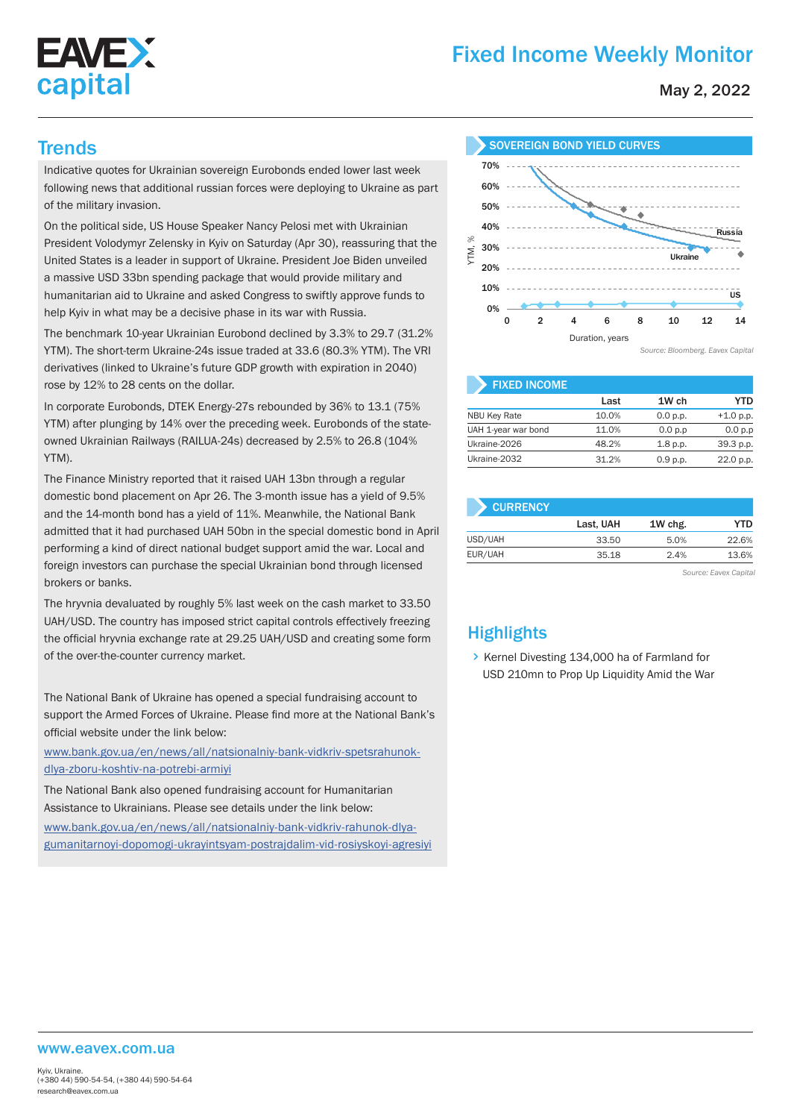

# Fixed Income Weekly Monitor

May 2, 2022

Indicative quotes for Ukrainian sovereign Eurobonds ended lower last week following news that additional russian forces were deploying to Ukraine as part of the military invasion.

On the political side, US House Speaker Nancy Pelosi met with Ukrainian President Volodymyr Zelensky in Kyiv on Saturday (Apr 30), reassuring that the United States is a leader in support of Ukraine. President Joe Biden unveiled a massive USD 33bn spending package that would provide military and humanitarian aid to Ukraine and asked Congress to swiftly approve funds to help Kyiv in what may be a decisive phase in its war with Russia.

The benchmark 10-year Ukrainian Eurobond declined by 3.3% to 29.7 (31.2% YTM). The short-term Ukraine-24s issue traded at 33.6 (80.3% YTM). The VRI derivatives (linked to Ukraine's future GDP growth with expiration in 2040) rose by 12% to 28 cents on the dollar.

In corporate Eurobonds, DTEK Energy-27s rebounded by 36% to 13.1 (75% YTM) after plunging by 14% over the preceding week. Eurobonds of the stateowned Ukrainian Railways (RAILUA-24s) decreased by 2.5% to 26.8 (104% YTM).

The Finance Ministry reported that it raised UAH 13bn through a regular domestic bond placement on Apr 26. The 3-month issue has a yield of 9.5% and the 14-month bond has a yield of 11%. Meanwhile, the National Bank admitted that it had purchased UAH 50bn in the special domestic bond in April performing a kind of direct national budget support amid the war. Local and foreign investors can purchase the special Ukrainian bond through licensed brokers or banks.

The hryvnia devaluated by roughly 5% last week on the cash market to 33.50 UAH/USD. The country has imposed strict capital controls effectively freezing the official hryvnia exchange rate at 29.25 UAH/USD and creating some form of the over-the-counter currency market.

The National Bank of Ukraine has opened a special fundraising account to support the Armed Forces of Ukraine. Please find more at the National Bank's official website under the link below:

www.bank.gov.ua/en/news/all/natsionalniy-bank-vidkriv-spetsrahunokdlya-zboru-koshtiv-na-potrebi-armiyi

The National Bank also opened fundraising account for Humanitarian Assistance to Ukrainians. Please see details under the link below: www.bank.gov.ua/en/news/all/natsionalniy-bank-vidkriv-rahunok-dlyagumanitarnoyi-dopomogi-ukrayintsyam-postrajdalim-vid-rosiyskoyi-agresiyi



| <b>FIXED INCOME</b> |       |          |             |
|---------------------|-------|----------|-------------|
|                     | Last  | 1W ch    | YTD         |
| <b>NBU Key Rate</b> | 10.0% | 0.0 p.p. | $+1.0 p.p.$ |
| UAH 1-year war bond | 11.0% | 0.0 p.p  | 0.0 p.p     |
| Ukraine-2026        | 48.2% | 1.8 p.p. | 39.3 p.p.   |
| Ukraine-2032        | 31.2% | 0.9 p.p. | 22.0 p.p.   |

| <b>CURRENCY</b> |           |         |       |  |  |  |  |
|-----------------|-----------|---------|-------|--|--|--|--|
|                 | Last, UAH | 1W chg. | YTD   |  |  |  |  |
| USD/UAH         | 33.50     | 5.0%    | 22.6% |  |  |  |  |
| EUR/UAH         | 35.18     | 2.4%    | 13.6% |  |  |  |  |
|                 |           |         |       |  |  |  |  |

*Source: Eavex Capital*

## **Highlights**

S Kernel Divesting 134,000 ha of Farmland for USD 210mn to Prop Up Liquidity Amid the War

#### www.eavex.com.ua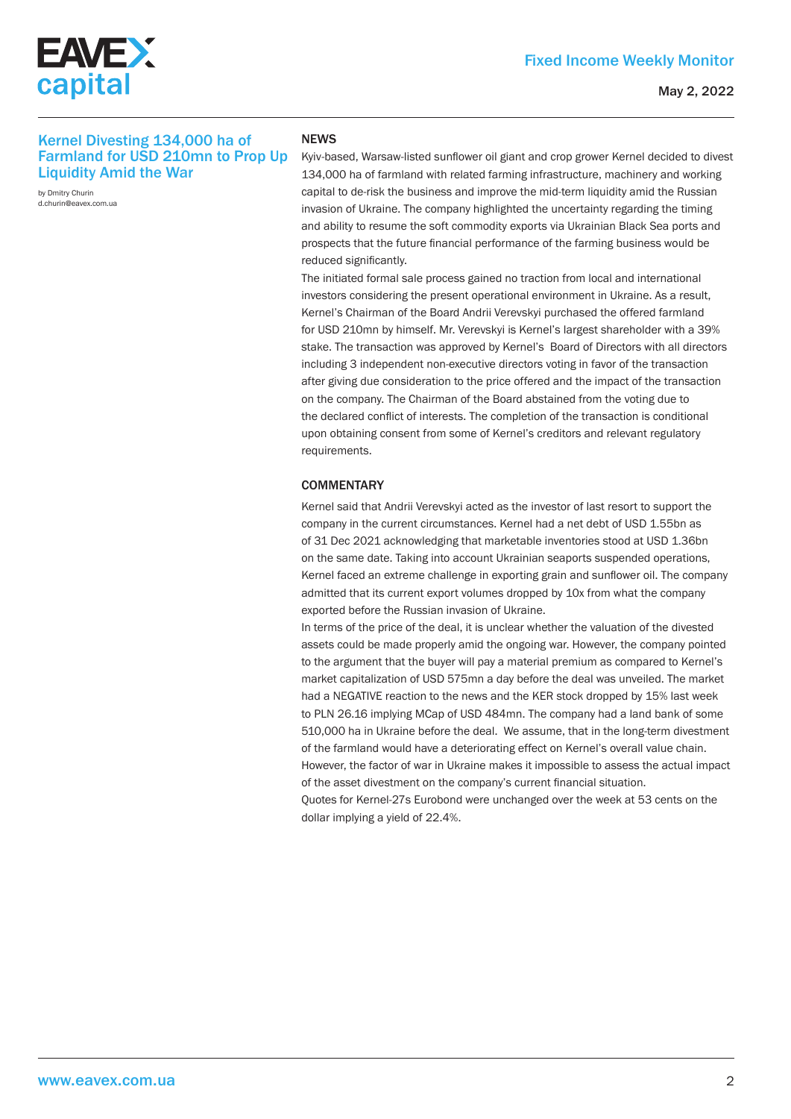

#### May 2, 2022

### Kernel Divesting 134,000 ha of Farmland for USD 210mn to Prop Up Liquidity Amid the War

by Dmitry Churin d.churin@eavex.com.ua

#### **NEWS**

Kyiv-based, Warsaw-listed sunflower oil giant and crop grower Kernel decided to divest 134,000 ha of farmland with related farming infrastructure, machinery and working capital to de-risk the business and improve the mid-term liquidity amid the Russian invasion of Ukraine. The company highlighted the uncertainty regarding the timing and ability to resume the soft commodity exports via Ukrainian Black Sea ports and prospects that the future financial performance of the farming business would be reduced significantly.

The initiated formal sale process gained no traction from local and international investors considering the present operational environment in Ukraine. As a result, Kernel's Chairman of the Board Andrii Verevskyi purchased the offered farmland for USD 210mn by himself. Mr. Verevskyi is Kernel's largest shareholder with a 39% stake. The transaction was approved by Kernel's Board of Directors with all directors including 3 independent non-executive directors voting in favor of the transaction after giving due consideration to the price offered and the impact of the transaction on the company. The Chairman of the Board abstained from the voting due to the declared conflict of interests. The completion of the transaction is conditional upon obtaining consent from some of Kernel's creditors and relevant regulatory requirements.

#### **COMMENTARY**

Kernel said that Andrii Verevskyi acted as the investor of last resort to support the company in the current circumstances. Kernel had a net debt of USD 1.55bn as of 31 Dec 2021 acknowledging that marketable inventories stood at USD 1.36bn on the same date. Taking into account Ukrainian seaports suspended operations, Kernel faced an extreme challenge in exporting grain and sunflower oil. The company admitted that its current export volumes dropped by 10x from what the company exported before the Russian invasion of Ukraine.

In terms of the price of the deal, it is unclear whether the valuation of the divested assets could be made properly amid the ongoing war. However, the company pointed to the argument that the buyer will pay a material premium as compared to Kernel's market capitalization of USD 575mn a day before the deal was unveiled. The market had a NEGATIVE reaction to the news and the KER stock dropped by 15% last week to PLN 26.16 implying MCap of USD 484mn. The company had a land bank of some 510,000 ha in Ukraine before the deal. We assume, that in the long-term divestment of the farmland would have a deteriorating effect on Kernel's overall value chain. However, the factor of war in Ukraine makes it impossible to assess the actual impact of the asset divestment on the company's current financial situation.

Quotes for Kernel-27s Eurobond were unchanged over the week at 53 cents on the dollar implying a yield of 22.4%.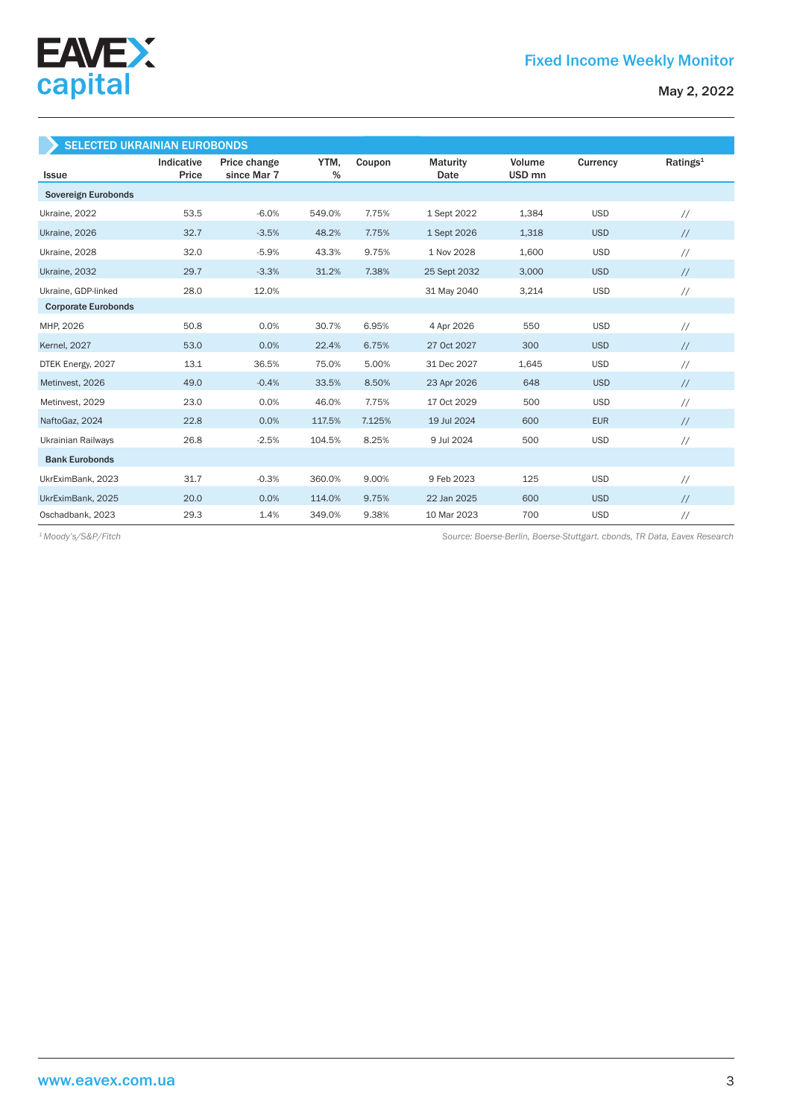



| <b>SELECTED UKRAINIAN EUROBONDS</b> |                     |                             |           |        |                         |                             |            |                      |  |
|-------------------------------------|---------------------|-----------------------------|-----------|--------|-------------------------|-----------------------------|------------|----------------------|--|
| Issue                               | Indicative<br>Price | Price change<br>since Mar 7 | YTM,<br>% | Coupon | <b>Maturity</b><br>Date | Volume<br>USD <sub>mn</sub> | Currency   | Ratings <sup>1</sup> |  |
| Sovereign Eurobonds                 |                     |                             |           |        |                         |                             |            |                      |  |
| Ukraine, 2022                       | 53.5                | $-6.0%$                     | 549.0%    | 7.75%  | 1 Sept 2022             | 1,384                       | <b>USD</b> | $\frac{1}{2}$        |  |
| Ukraine, 2026                       | 32.7                | $-3.5%$                     | 48.2%     | 7.75%  | 1 Sept 2026             | 1,318                       | <b>USD</b> | $\frac{1}{2}$        |  |
| Ukraine, 2028                       | 32.0                | $-5.9%$                     | 43.3%     | 9.75%  | 1 Nov 2028              | 1,600                       | <b>USD</b> | $\frac{1}{2}$        |  |
| Ukraine, 2032                       | 29.7                | $-3.3%$                     | 31.2%     | 7.38%  | 25 Sept 2032            | 3,000                       | <b>USD</b> | $\frac{1}{2}$        |  |
| Ukraine, GDP-linked                 | 28.0                | 12.0%                       |           |        | 31 May 2040             | 3,214                       | <b>USD</b> | $\frac{1}{2}$        |  |
| <b>Corporate Eurobonds</b>          |                     |                             |           |        |                         |                             |            |                      |  |
| MHP, 2026                           | 50.8                | 0.0%                        | 30.7%     | 6.95%  | 4 Apr 2026              | 550                         | <b>USD</b> | $\frac{1}{2}$        |  |
| <b>Kernel</b> , 2027                | 53.0                | 0.0%                        | 22.4%     | 6.75%  | 27 Oct 2027             | 300                         | <b>USD</b> | $\frac{1}{2}$        |  |
| DTEK Energy, 2027                   | 13.1                | 36.5%                       | 75.0%     | 5.00%  | 31 Dec 2027             | 1,645                       | <b>USD</b> | $\frac{1}{2}$        |  |
| Metinvest, 2026                     | 49.0                | $-0.4%$                     | 33.5%     | 8.50%  | 23 Apr 2026             | 648                         | <b>USD</b> | $\frac{1}{2}$        |  |
| Metinvest, 2029                     | 23.0                | 0.0%                        | 46.0%     | 7.75%  | 17 Oct 2029             | 500                         | <b>USD</b> | $\frac{1}{2}$        |  |
| NaftoGaz, 2024                      | 22.8                | 0.0%                        | 117.5%    | 7.125% | 19 Jul 2024             | 600                         | <b>EUR</b> | $\frac{1}{2}$        |  |
| <b>Ukrainian Railways</b>           | 26.8                | $-2.5%$                     | 104.5%    | 8.25%  | 9 Jul 2024              | 500                         | <b>USD</b> | $\frac{1}{2}$        |  |
| <b>Bank Eurobonds</b>               |                     |                             |           |        |                         |                             |            |                      |  |
| UkrEximBank, 2023                   | 31.7                | $-0.3%$                     | 360.0%    | 9.00%  | 9 Feb 2023              | 125                         | <b>USD</b> | $\frac{1}{2}$        |  |
| UkrEximBank, 2025                   | 20.0                | 0.0%                        | 114.0%    | 9.75%  | 22 Jan 2025             | 600                         | <b>USD</b> | $\frac{1}{2}$        |  |
| Oschadbank, 2023                    | 29.3                | 1.4%                        | 349.0%    | 9.38%  | 10 Mar 2023             | 700                         | <b>USD</b> | $\frac{1}{2}$        |  |

EAVEX

*Source: Boerse-Berlin, Boerse-Stuttgart. cbonds, TR Data, Eavex Research <sup>1</sup> Moody's/S&P/Fitch*